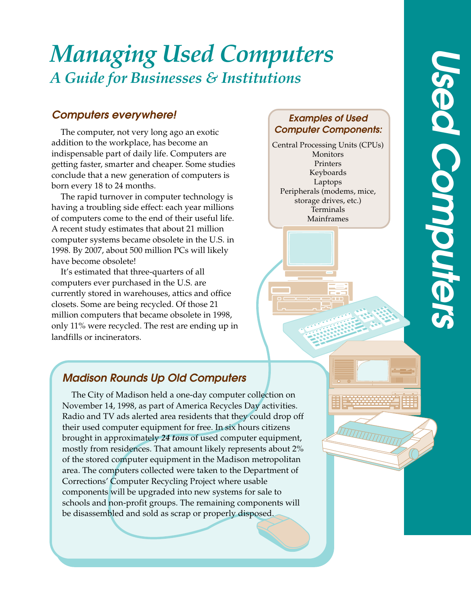# *Managing Used Computers A Guide for Businesses & Institutions*

### **Computers everywhere!**

The computer, not very long ago an exotic addition to the workplace, has become an indispensable part of daily life. Computers are getting faster, smarter and cheaper. Some studies conclude that a new generation of computers is born every 18 to 24 months.

The rapid turnover in computer technology is having a troubling side effect: each year millions of computers come to the end of their useful life. A recent study estimates that about 21 million computer systems became obsolete in the U.S. in 1998. By 2007, about 500 million PCs will likely have become obsolete!

It's estimated that three-quarters of all computers ever purchased in the U.S. are currently stored in warehouses, attics and office closets. Some are being recycled. Of those 21 million computers that became obsolete in 1998, only 11% were recycled. The rest are ending up in landfills or incinerators.

#### **Examples of Used Computer Components:**

Central Processing Units (CPUs) Monitors Printers Keyboards Laptops Peripherals (modems, mice, storage drives, etc.) Terminals Mainframes

# **Madison Rounds Up Old Computers**

The City of Madison held a one-day computer collection on November 14, 1998, as part of America Recycles Day activities. Radio and TV ads alerted area residents that they could drop off their used computer equipment for free. In six hours citizens brought in approximately *24 tons* of used computer equipment, mostly from residences. That amount likely represents about 2% of the stored computer equipment in the Madison metropolitan area. The computers collected were taken to the Department of Corrections' Computer Recycling Project where usable components will be upgraded into new systems for sale to schools and non-profit groups. The remaining components will be disassembled and sold as scrap or properly disposed.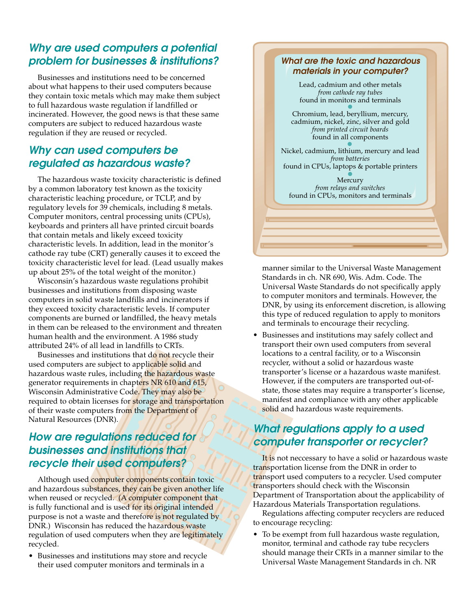#### **Why are used computers a potential problem for businesses & institutions?**

Businesses and institutions need to be concerned about what happens to their used computers because they contain toxic metals which may make them subject to full hazardous waste regulation if landfilled or incinerated. However, the good news is that these same computers are subject to reduced hazardous waste regulation if they are reused or recycled.

#### **Why can used computers be regulated as hazardous waste?**

The hazardous waste toxicity characteristic is defined by a common laboratory test known as the toxicity characteristic leaching procedure, or TCLP, and by regulatory levels for 39 chemicals, including 8 metals. Computer monitors, central processing units (CPUs), keyboards and printers all have printed circuit boards that contain metals and likely exceed toxicity characteristic levels. In addition, lead in the monitor's cathode ray tube (CRT) generally causes it to exceed the toxicity characteristic level for lead. (Lead usually makes up about 25% of the total weight of the monitor.)

Wisconsin's hazardous waste regulations prohibit businesses and institutions from disposing waste computers in solid waste landfills and incinerators if they exceed toxicity characteristic levels. If computer components are burned or landfilled, the heavy metals in them can be released to the environment and threaten human health and the environment. A 1986 study attributed 24% of all lead in landfills to CRTs.

Businesses and institutions that do not recycle their used computers are subject to applicable solid and hazardous waste rules, including the hazardous waste generator requirements in chapters NR 610 and 615, Wisconsin Administrative Code. They may also be required to obtain licenses for storage and transportation of their waste computers from the Department of Natural Resources (DNR).

#### **How are regulations reduced for businesses and institutions that recycle their used computers?**

Although used computer components contain toxic and hazardous substances, they can be given another life when reused or recycled. (A computer component that is fully functional and is used for its original intended purpose is not a waste and therefore is not regulated by DNR.) Wisconsin has reduced the hazardous waste regulation of used computers when they are legitimately recycled.

• Businesses and institutions may store and recycle their used computer monitors and terminals in a

#### **What are the toxic and hazardous materials in your computer?**

Lead, cadmium and other metals *from cathode ray tubes* found in monitors and terminals

Chromium, lead, beryllium, mercury, cadmium, nickel, zinc, silver and gold *from printed circuit boards* found in all components

Nickel, cadmium, lithium, mercury and lead *from batteries* found in CPUs, laptops & portable printers

Mercury *from relays and switches* found in CPUs, monitors and terminals

manner similar to the Universal Waste Management Standards in ch. NR 690, Wis. Adm. Code. The Universal Waste Standards do not specifically apply to computer monitors and terminals. However, the DNR, by using its enforcement discretion, is allowing this type of reduced regulation to apply to monitors and terminals to encourage their recycling.

• Businesses and institutions may safely collect and transport their own used computers from several locations to a central facility, or to a Wisconsin recycler, without a solid or hazardous waste transporter's license or a hazardous waste manifest. However, if the computers are transported out-ofstate, those states may require a transporter's license, manifest and compliance with any other applicable solid and hazardous waste requirements.

#### **What regulations apply to a used computer transporter or recycler?**

It is not neccessary to have a solid or hazardous waste transportation license from the DNR in order to transport used computers to a recycler. Used computer transporters should check with the Wisconsin Department of Transportation about the applicability of Hazardous Materials Transportation regulations.

Regulations affecting computer recyclers are reduced to encourage recycling:

• To be exempt from full hazardous waste regulation, monitor, terminal and cathode ray tube recyclers should manage their CRTs in a manner similar to the Universal Waste Management Standards in ch. NR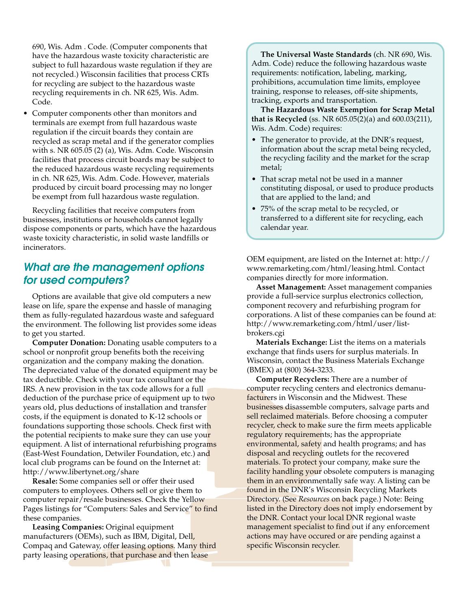690, Wis. Adm . Code. (Computer components that have the hazardous waste toxicity characteristic are subject to full hazardous waste regulation if they are not recycled.) Wisconsin facilities that process CRTs for recycling are subject to the hazardous waste recycling requirements in ch. NR 625, Wis. Adm. Code.

• Computer components other than monitors and terminals are exempt from full hazardous waste regulation if the circuit boards they contain are recycled as scrap metal and if the generator complies with s. NR 605.05 (2) (a), Wis. Adm. Code. Wisconsin facilities that process circuit boards may be subject to the reduced hazardous waste recycling requirements in ch. NR 625, Wis. Adm. Code. However, materials produced by circuit board processing may no longer be exempt from full hazardous waste regulation.

Recycling facilities that receive computers from businesses, institutions or households cannot legally dispose components or parts, which have the hazardous waste toxicity characteristic, in solid waste landfills or incinerators.

#### **What are the management options for used computers?**

Options are available that give old computers a new lease on life, spare the expense and hassle of managing them as fully-regulated hazardous waste and safeguard the environment. The following list provides some ideas to get you started.

**Computer Donation:** Donating usable computers to a school or nonprofit group benefits both the receiving organization and the company making the donation. The depreciated value of the donated equipment may be tax deductible. Check with your tax consultant or the IRS. A new provision in the tax code allows for a full deduction of the purchase price of equipment up to two years old, plus deductions of installation and transfer costs, if the equipment is donated to K-12 schools or foundations supporting those schools. Check first with the potential recipients to make sure they can use your equipment. A list of international refurbishing programs (East-West Foundation, Detwiler Foundation, etc.) and local club programs can be found on the Internet at: http://www.libertynet.org/share

**Resale:** Some companies sell or offer their used computers to employees. Others sell or give them to computer repair/resale businesses. Check the Yellow Pages listings for "Computers: Sales and Service" to find these companies.

**Leasing Companies:** Original equipment manufacturers (OEMs), such as IBM, Digital, Dell, Compaq and Gateway, offer leasing options. Many third party leasing operations, that purchase and then lease

**The Universal Waste Standards** (ch. NR 690, Wis. Adm. Code) reduce the following hazardous waste requirements: notification, labeling, marking, prohibitions, accumulation time limits, employee training, response to releases, off-site shipments, tracking, exports and transportation.

**The Hazardous Waste Exemption for Scrap Metal that is Recycled** (ss. NR 605.05(2)(a) and 600.03(211), Wis. Adm. Code) requires:

- The generator to provide, at the DNR's request, information about the scrap metal being recycled, the recycling facility and the market for the scrap metal;
- That scrap metal not be used in a manner constituting disposal, or used to produce products that are applied to the land; and
- 75% of the scrap metal to be recycled, or transferred to a different site for recycling, each calendar year.

OEM equipment, are listed on the Internet at: http:// www.remarketing.com/html/leasing.html. Contact companies directly for more information.

**Asset Management:** Asset management companies provide a full-service surplus electronics collection, component recovery and refurbishing program for corporations. A list of these companies can be found at: http://www.remarketing.com/html/user/listbrokers.cgi

**Materials Exchange:** List the items on a materials exchange that finds users for surplus materials. In Wisconsin, contact the Business Materials Exchange (BMEX) at (800) 364-3233.

**Computer Recyclers:** There are a number of computer recycling centers and electronics demanufacturers in Wisconsin and the Midwest. These businesses disassemble computers, salvage parts and sell reclaimed materials. Before choosing a computer recycler, check to make sure the firm meets applicable regulatory requirements; has the appropriate environmental, safety and health programs; and has disposal and recycling outlets for the recovered materials. To protect your company, make sure the facility handling your obsolete computers is managing them in an environmentally safe way. A listing can be found in the DNR's Wisconsin Recycling Markets Directory. (See *Resources* on back page.) Note: Being listed in the Directory does not imply endorsement by the DNR. Contact your local DNR regional waste management specialist to find out if any enforcement actions may have occured or are pending against a specific Wisconsin recycler.